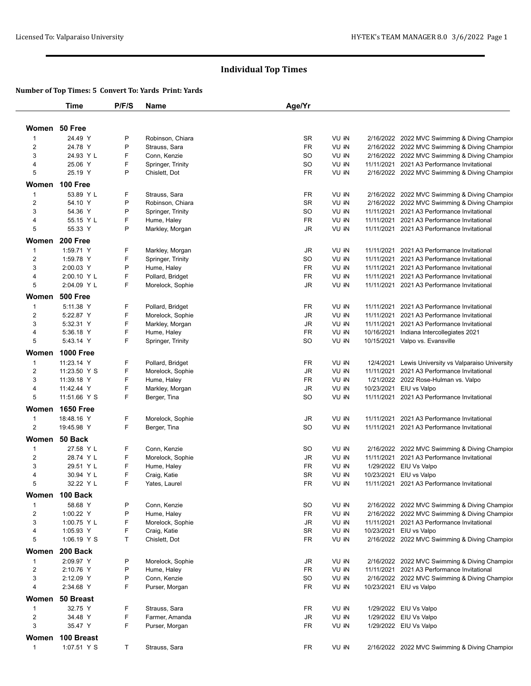# **Individual Top Times**

### **Number of Top Times: 5 Convert To: Yards Print: Yards**

|                | <b>Time</b>      | P/F/S | Name              | Age/Yr    |                  |            |                                               |
|----------------|------------------|-------|-------------------|-----------|------------------|------------|-----------------------------------------------|
| Women 50 Free  |                  |       |                   |           |                  |            |                                               |
| $\mathbf 1$    | 24.49 Y          | P     | Robinson, Chiara  | <b>SR</b> | VU <sub>IN</sub> |            | 2/16/2022 2022 MVC Swimming & Diving Champior |
| $\overline{c}$ | 24.78 Y          | P     | Strauss, Sara     | FR        | VU IN            |            | 2/16/2022 2022 MVC Swimming & Diving Champior |
| 3              | 24.93 Y L        | F     | Conn, Kenzie      | SO        | VU IN            |            | 2/16/2022 2022 MVC Swimming & Diving Champior |
| 4              | 25.06 Y          | F     | Springer, Trinity | SO        | VU IN            |            | 11/11/2021 2021 A3 Performance Invitational   |
| 5              | 25.19 Y          | P     | Chislett, Dot     | FR        | VU IN            |            | 2/16/2022 2022 MVC Swimming & Diving Champior |
|                |                  |       |                   |           |                  |            |                                               |
|                | Women 100 Free   |       |                   |           |                  |            |                                               |
| 1              | 53.89 Y L        | F     | Strauss, Sara     | FR        | VU IN            |            | 2/16/2022 2022 MVC Swimming & Diving Champior |
| $\overline{c}$ | 54.10 Y          | P     | Robinson, Chiara  | SR        | VU IN            |            | 2/16/2022 2022 MVC Swimming & Diving Champior |
| 3              | 54.36 Y          | P     | Springer, Trinity | SO        | VU IN            | 11/11/2021 | 2021 A3 Performance Invitational              |
| 4              | 55.15 Y L        | F     | Hume, Haley       | <b>FR</b> | VU IN            | 11/11/2021 | 2021 A3 Performance Invitational              |
| 5              | 55.33 Y          | P     | Markley, Morgan   | JR        | VU IN            |            | 11/11/2021 2021 A3 Performance Invitational   |
| Women          | 200 Free         |       |                   |           |                  |            |                                               |
| $\mathbf 1$    | 1:59.71 Y        | F     | Markley, Morgan   | JR        | VU IN            | 11/11/2021 | 2021 A3 Performance Invitational              |
| $\overline{2}$ | 1:59.78 Y        | F     | Springer, Trinity | SO        | VU IN            | 11/11/2021 | 2021 A3 Performance Invitational              |
| 3              | 2:00.03 Y        | P     | Hume, Haley       | <b>FR</b> | VU IN            |            | 11/11/2021 2021 A3 Performance Invitational   |
| 4              | 2:00.10 Y L      | F     | Pollard, Bridget  | FR        | VU IN            | 11/11/2021 | 2021 A3 Performance Invitational              |
| 5              | 2:04.09 Y L      | F     | Morelock, Sophie  | JR        | VU IN            |            | 11/11/2021 2021 A3 Performance Invitational   |
| Women          | <b>500 Free</b>  |       |                   |           |                  |            |                                               |
| $\mathbf{1}$   | 5:11.38 Y        | F     | Pollard, Bridget  | FR        | VU IN            | 11/11/2021 | 2021 A3 Performance Invitational              |
| $\overline{2}$ | 5:22.87 Y        | F     | Morelock, Sophie  | <b>JR</b> | VU IN            | 11/11/2021 | 2021 A3 Performance Invitational              |
| 3              | 5:32.31 Y        | F     | Markley, Morgan   | JR        | VU IN            | 11/11/2021 | 2021 A3 Performance Invitational              |
| 4              | 5:36.18 Y        | F     | Hume, Haley       | <b>FR</b> | VU IN            | 10/16/2021 | Indiana Intercollegiates 2021                 |
| 5              | 5:43.14 Y        | F     | Springer, Trinity | SO        | VU IN            |            | 10/15/2021 Valpo vs. Evansville               |
|                | <b>1000 Free</b> |       |                   |           |                  |            |                                               |
| Women          |                  |       |                   |           |                  |            |                                               |
| $\mathbf{1}$   | 11:23.14 Y       | F     | Pollard, Bridget  | FR        | VU IN            | 12/4/2021  | Lewis University vs Valparaiso University     |
| $\overline{2}$ | 11:23.50 Y S     | F     | Morelock, Sophie  | JR        | VU IN            | 11/11/2021 | 2021 A3 Performance Invitational              |
| 3              | 11:39.18 Y       | F     | Hume, Haley       | <b>FR</b> | VU IN            |            | 1/21/2022 2022 Rose-Hulman vs. Valpo          |
| 4              | 11:42.44 Y       | F     | Markley, Morgan   | JR        | VU IN            | 10/23/2021 | EIU vs Valpo                                  |
| 5              | 11:51.66 Y S     | F     | Berger, Tina      | SO        | VU IN            |            | 11/11/2021 2021 A3 Performance Invitational   |
| Women          | <b>1650 Free</b> |       |                   |           |                  |            |                                               |
| $\mathbf 1$    | 18:48.16 Y       | F     | Morelock, Sophie  | JR        | VU IN            | 11/11/2021 | 2021 A3 Performance Invitational              |
| $\overline{c}$ | 19:45.98 Y       | F     | Berger, Tina      | SO        | VU IN            |            | 11/11/2021 2021 A3 Performance Invitational   |
|                | Women 50 Back    |       |                   |           |                  |            |                                               |
| 1              | 27.58 Y L        | F     | Conn, Kenzie      | SO        | VU IN            |            | 2/16/2022 2022 MVC Swimming & Diving Champior |
| $\overline{c}$ | 28.74 Y L        | F     | Morelock, Sophie  | JR        | VU IN            |            | 11/11/2021 2021 A3 Performance Invitational   |
| 3              | 29.51 Y L        | F     | Hume, Haley       | FR        | VU IN            |            | 1/29/2022 EIU Vs Valpo                        |
| 4              | 30.94 Y L        | F     | Craig, Katie      | <b>SR</b> | VU IN            |            | 10/23/2021 EIU vs Valpo                       |
| 5              | 32.22 Y L        | F     | Yates, Laurel     | <b>FR</b> | VU IN            |            | 11/11/2021 2021 A3 Performance Invitational   |
|                | Women 100 Back   |       |                   |           |                  |            |                                               |
| 1              | 58.68 Y          | P     | Conn, Kenzie      | SO        | VU IN            |            | 2/16/2022 2022 MVC Swimming & Diving Champion |
| $\overline{c}$ | 1:00.22 Y        | P     | Hume, Haley       | FR        | VU IN            |            | 2/16/2022 2022 MVC Swimming & Diving Champion |
| 3              | 1:00.75 Y L      | F     | Morelock, Sophie  | JR        | VU IN            |            | 11/11/2021 2021 A3 Performance Invitational   |
| 4              | 1:05.93 Y        | F     | Craig, Katie      | SR        | VU IN            |            | 10/23/2021 EIU vs Valpo                       |
| 5              | 1:06.19 Y S      | T     | Chislett, Dot     | FR        | VU IN            |            | 2/16/2022 2022 MVC Swimming & Diving Champion |
|                |                  |       |                   |           |                  |            |                                               |
| Women          | 200 Back         |       |                   |           |                  |            |                                               |
| $\mathbf{1}$   | 2:09.97 Y        | P     | Morelock, Sophie  | JR        | VU IN            |            | 2/16/2022 2022 MVC Swimming & Diving Champion |
| $\overline{2}$ | 2:10.76 Y        | P     | Hume, Haley       | FR        | VU IN            |            | 11/11/2021 2021 A3 Performance Invitational   |
| 3              | 2:12.09 Y        | P     | Conn, Kenzie      | SO        | VU IN            |            | 2/16/2022 2022 MVC Swimming & Diving Champion |
| 4              | 2:34.68 Y        | F     | Purser, Morgan    | FR        | VU IN            |            | 10/23/2021 EIU vs Valpo                       |
| Women          | 50 Breast        |       |                   |           |                  |            |                                               |
| $\mathbf{1}$   | 32.75 Y          | F     | Strauss, Sara     | FR        | VU IN            |            | 1/29/2022 EIU Vs Valpo                        |
| $\overline{2}$ | 34.48 Y          | F     | Farmer, Amanda    | JR        | VU IN            |            | 1/29/2022 EIU Vs Valpo                        |
| 3              | 35.47 Y          | F     | Purser, Morgan    | FR        | VU IN            |            | 1/29/2022 EIU Vs Valpo                        |
|                | Women 100 Breast |       |                   |           |                  |            |                                               |
| $\mathbf{1}$   | 1:07.51 Y S      | T.    | Strauss, Sara     | FR        | VU IN            |            | 2/16/2022 2022 MVC Swimming & Diving Champior |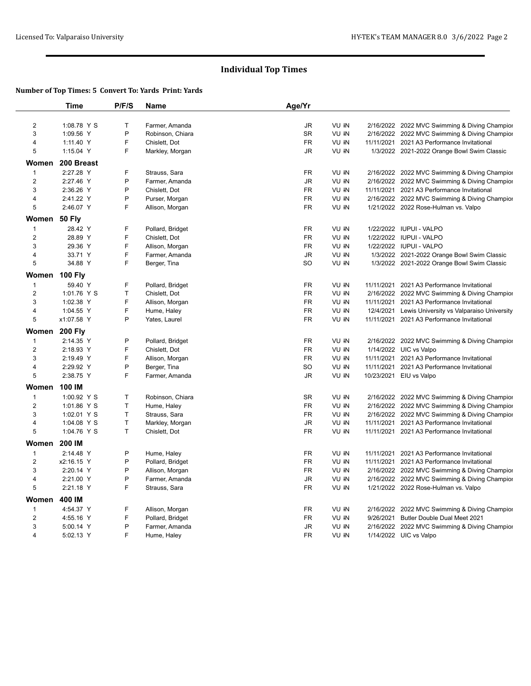# **Individual Top Times**

### **Number of Top Times: 5 Convert To: Yards Print: Yards**

|                  | Time                       | P/F/S        | Name                             | Age/Yr          |                |                                                                                              |
|------------------|----------------------------|--------------|----------------------------------|-----------------|----------------|----------------------------------------------------------------------------------------------|
| $\overline{2}$   | 1:08.78 Y S                | $\mathsf{T}$ | Farmer, Amanda                   | JR              | VU IN          | 2/16/2022 2022 MVC Swimming & Diving Champion                                                |
| 3                | 1:09.56 Y                  | P            | Robinson, Chiara                 | SR              | VU IN          | 2/16/2022 2022 MVC Swimming & Diving Champior                                                |
| 4                | 1:11.40 Y                  | F            | Chislett, Dot                    | <b>FR</b>       | VU IN          | 11/11/2021 2021 A3 Performance Invitational                                                  |
| 5                | 1:15.04 Y                  | F            | Markley, Morgan                  | JR              | VU IN          | 1/3/2022 2021-2022 Orange Bowl Swim Classic                                                  |
| Women            | 200 Breast                 |              |                                  |                 |                |                                                                                              |
| 1                | 2:27.28 Y                  | F            | Strauss, Sara                    | FR              | VU IN          | 2/16/2022 2022 MVC Swimming & Diving Champior                                                |
| $\overline{2}$   | 2:27.46 Y                  | P            | Farmer, Amanda                   | JR              | VU IN          | 2/16/2022 2022 MVC Swimming & Diving Champion                                                |
| 3                | 2:36.26 Y                  | P            | Chislett, Dot                    | FR              | VU IN          | 11/11/2021 2021 A3 Performance Invitational                                                  |
| 4                | 2:41.22 Y                  | P            | Purser, Morgan                   | <b>FR</b>       | VU IN          | 2/16/2022 2022 MVC Swimming & Diving Champior                                                |
| 5                | 2:46.07 Y                  | F            | Allison, Morgan                  | <b>FR</b>       | VU IN          | 1/21/2022 2022 Rose-Hulman vs. Valpo                                                         |
| Women 50 Fly     |                            |              |                                  |                 |                |                                                                                              |
| 1                | 28.42 Y                    | F            | Pollard, Bridget                 | <b>FR</b>       | VU IN          | 1/22/2022 IUPUI - VALPO                                                                      |
| $\overline{2}$   | 28.89 Y                    | F            | Chislett, Dot                    | <b>FR</b>       | VU IN          | 1/22/2022 IUPUI - VALPO                                                                      |
| 3                | 29.36 Y                    | F            | Allison, Morgan                  | <b>FR</b>       | VU IN          | 1/22/2022 IUPUI - VALPO                                                                      |
| 4                | 33.71 Y                    | F            | Farmer, Amanda                   | JR              | VU IN          | 1/3/2022 2021-2022 Orange Bowl Swim Classic                                                  |
| 5                | 34.88 Y                    | F            | Berger, Tina                     | SO.             | VU IN          | 1/3/2022 2021-2022 Orange Bowl Swim Classic                                                  |
|                  |                            |              |                                  |                 |                |                                                                                              |
| 1                | Women 100 Fly<br>59.40 Y   | F            | Pollard, Bridget                 | FR              | VU IN          | 11/11/2021 2021 A3 Performance Invitational                                                  |
| $\overline{2}$   | 1:01.76 Y S                | T            |                                  | <b>FR</b>       | VU IN          |                                                                                              |
| 3                | 1:02.38 Y                  | F            | Chislett, Dot                    | <b>FR</b>       | VU IN          | 2/16/2022 2022 MVC Swimming & Diving Champior<br>11/11/2021 2021 A3 Performance Invitational |
| 4                | 1:04.55 Y                  | F            | Allison, Morgan                  | FR              | VU IN          | 12/4/2021 Lewis University vs Valparaiso University                                          |
| 5                | x1:07.58 Y                 | P            | Hume, Haley<br>Yates, Laurel     | <b>FR</b>       | VU IN          | 11/11/2021 2021 A3 Performance Invitational                                                  |
|                  |                            |              |                                  |                 |                |                                                                                              |
| Women            | <b>200 Fly</b>             |              |                                  |                 |                |                                                                                              |
| $\mathbf{1}$     | 2:14.35 Y                  | P            | Pollard, Bridget                 | <b>FR</b>       | VU IN          | 2/16/2022 2022 MVC Swimming & Diving Champion                                                |
| $\overline{2}$   | 2:18.93 Y                  | F            | Chislett, Dot                    | <b>FR</b>       | VU IN          | 1/14/2022 UIC vs Valpo                                                                       |
| 3                | 2:19.49 Y                  | F            | Allison, Morgan                  | FR              | VU IN          | 11/11/2021 2021 A3 Performance Invitational                                                  |
| 4                | 2:29.92 Y                  | P<br>F       | Berger, Tina                     | <b>SO</b>       | VU IN          | 11/11/2021 2021 A3 Performance Invitational                                                  |
| 5                | 2:38.75 Y                  |              | Farmer, Amanda                   | JR              | VU IN          | 10/23/2021 EIU vs Valpo                                                                      |
| Women            | 100 IM                     |              |                                  |                 |                |                                                                                              |
| $\mathbf{1}$     | 1:00.92 Y S                | T            | Robinson, Chiara                 | <b>SR</b>       | VU IN          | 2/16/2022 2022 MVC Swimming & Diving Champion                                                |
| $\overline{2}$   | 1:01.86 Y S                | T            | Hume, Haley                      | <b>FR</b>       | VU IN          | 2/16/2022 2022 MVC Swimming & Diving Champior                                                |
| 3                | 1:02.01 Y S                | $\mathsf{T}$ | Strauss, Sara                    | <b>FR</b>       | VU IN          | 2/16/2022 2022 MVC Swimming & Diving Champior                                                |
| 4<br>5           | 1:04.08 Y S<br>1:04.76 Y S | T<br>T       | Markley, Morgan<br>Chislett, Dot | JR<br><b>FR</b> | VU IN<br>VU IN | 11/11/2021 2021 A3 Performance Invitational<br>11/11/2021 2021 A3 Performance Invitational   |
| Women            | <b>200 IM</b>              |              |                                  |                 |                |                                                                                              |
| 1                | 2:14.48 Y                  | P            | Hume, Haley                      | <b>FR</b>       | VU IN          | 11/11/2021 2021 A3 Performance Invitational                                                  |
| $\overline{2}$   | x2:16.15 Y                 | P            | Pollard, Bridget                 | <b>FR</b>       | VU IN          | 11/11/2021 2021 A3 Performance Invitational                                                  |
| 3                | 2:20.14 Y                  | P            | Allison, Morgan                  | FR              | VU IN          | 2/16/2022 2022 MVC Swimming & Diving Champior                                                |
| 4                | 2:21.00 Y                  | P            | Farmer, Amanda                   | JR              | VU IN          | 2/16/2022 2022 MVC Swimming & Diving Champior                                                |
| 5                | 2:21.18 Y                  | F            | Strauss, Sara                    | FR              | VU IN          | 1/21/2022 2022 Rose-Hulman vs. Valpo                                                         |
|                  |                            |              |                                  |                 |                |                                                                                              |
| Women            | 400 IM                     |              |                                  |                 |                |                                                                                              |
| $\mathbf{1}$     | 4:54.37 Y                  | F            | Allison, Morgan                  | FR              | VU IN          | 2/16/2022 2022 MVC Swimming & Diving Champior                                                |
| $\boldsymbol{2}$ | 4:55.16 Y                  | F            | Pollard, Bridget                 | FR              | VU IN          | 9/26/2021 Butler Double Dual Meet 2021                                                       |
| 3                | 5:00.14 Y                  | P            | Farmer, Amanda                   | JR              | VU IN          | 2/16/2022 2022 MVC Swimming & Diving Champior                                                |
| 4                | 5:02.13 Y                  | F            | Hume, Haley                      | <b>FR</b>       | VU IN          | 1/14/2022 UIC vs Valpo                                                                       |